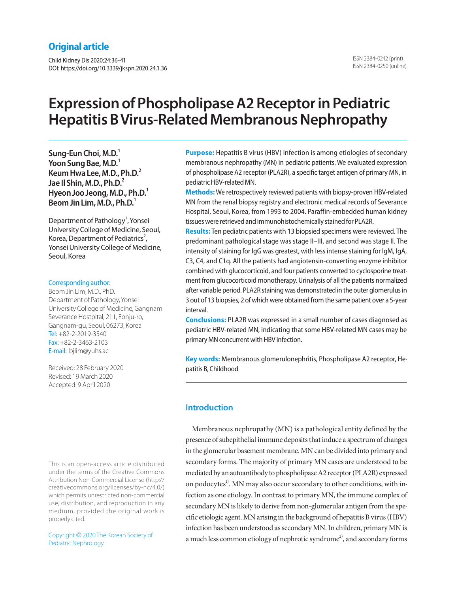# **Original article**

Child Kidney Dis 2020;24:36-41 DOI: https://doi.org/10.3339/jkspn.2020.24.1.36

# **Expression of Phospholipase A2 Receptor in Pediatric Hepatitis B Virus-Related Membranous Nephropathy**

**Sung-Eun Choi, M.D.1** Yoon Sung Bae, M.D.<sup>1</sup> **Keum Hwa Lee, M.D., Ph.D.2 Jae Il Shin, M.D., Ph.D.2 Hyeon Joo Jeong, M.D., Ph.D.1 Beom Jin Lim, M.D., Ph.D.1**

Department of Pathology<sup>1</sup>, Yonsei University College of Medicine, Seoul, Korea, Department of Pediatrics<sup>2</sup>, Yonsei University College of Medicine, Seoul, Korea

### Corresponding author:

Beom Jin Lim, M.D., PhD. Department of Pathology, Yonsei University College of Medicine, Gangnam Severance Hostpital, 211, Eonju-ro, Gangnam-gu, Seoul, 06273, Korea Tel: +82-2-2019-3540 Fax: +82-2-3463-2103 E-mail: bjlim@yuhs.ac

Received: 28 February 2020 Revised: 19 March 2020 Accepted: 9 April 2020

This is an open-access article distributed under the terms of the Creative Commons Attribution Non-Commercial License (http:// creativecommons.org/licenses/by-nc/4.0/) which permits unrestricted non-commercial use, distribution, and reproduction in any medium, provided the original work is properly cited.

Copyright © 2020 The Korean Society of Pediatric Nephrology

**Purpose:** Hepatitis B virus (HBV) infection is among etiologies of secondary membranous nephropathy (MN) in pediatric patients. We evaluated expression of phospholipase A2 receptor (PLA2R), a specific target antigen of primary MN, in pediatric HBV-related MN.

**Methods:** We retrospectively reviewed patients with biopsy-proven HBV-related MN from the renal biopsy registry and electronic medical records of Severance Hospital, Seoul, Korea, from 1993 to 2004. Paraffin-embedded human kidney tissues were retrieved and immunohistochemically stained for PLA2R.

**Results:** Ten pediatric patients with 13 biopsied specimens were reviewed. The predominant pathological stage was stage II–III, and second was stage II. The intensity of staining for IgG was greatest, with less intense staining for IgM, IgA, C3, C4, and C1q. All the patients had angiotensin-converting enzyme inhibitor combined with glucocorticoid, and four patients converted to cyclosporine treatment from glucocorticoid monotherapy. Urinalysis of all the patients normalized after variable period. PLA2R staining was demonstrated in the outer glomerulus in 3 out of 13 biopsies, 2 of which were obtained from the same patient over a 5-year interval.

**Conclusions:** PLA2R was expressed in a small number of cases diagnosed as pediatric HBV-related MN, indicating that some HBV-related MN cases may be primary MN concurrent with HBV infection.

**Key words:** Membranous glomerulonephritis, Phospholipase A2 receptor, Hepatitis B, Childhood

# **Introduction**

Membranous nephropathy (MN) is a pathological entity defined by the presence of subepithelial immune deposits that induce a spectrum of changes in the glomerular basement membrane. MN can be divided into primary and secondary forms. The majority of primary MN cases are understood to be mediated by an autoantibody to phospholipase A2 receptor (PLA2R) expressed on podocytes<sup>1</sup>. MN may also occur secondary to other conditions, with infection as one etiology. In contrast to primary MN, the immune complex of secondary MN is likely to derive from non-glomerular antigen from the specific etiologic agent. MN arising in the background of hepatitis B virus (HBV) infection has been understood as secondary MN. In children, primary MN is a much less common etiology of nephrotic syndrome<sup>2</sup>, and secondary forms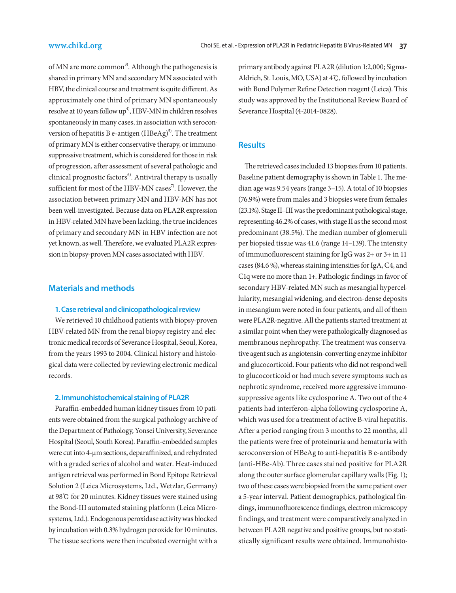of MN are more common<sup>3)</sup>. Although the pathogenesis is shared in primary MN and secondary MN associated with HBV, the clinical course and treatment is quite different. As approximately one third of primary MN spontaneously resolve at 10 years follow  $up<sup>4</sup>$ , HBV-MN in children resolves spontaneously in many cases, in association with seroconversion of hepatitis B e-antigen  $(HBeAg)^{5}$ . The treatment of primary MN is either conservative therapy, or immunosuppressive treatment, which is considered for those in risk of progression, after assessment of several pathologic and clinical prognostic factors<sup>6</sup>. Antiviral therapy is usually sufficient for most of the HBV-MN cases<sup>7</sup>. However, the association between primary MN and HBV-MN has not been well-investigated. Because data on PLA2R expression in HBV-related MN have been lacking, the true incidences of primary and secondary MN in HBV infection are not yet known, as well. Therefore, we evaluated PLA2R expression in biopsy-proven MN cases associated with HBV.

## **Materials and methods**

### **1. Case retrieval and clinicopathological review**

We retrieved 10 childhood patients with biopsy-proven HBV-related MN from the renal biopsy registry and electronic medical records of Severance Hospital, Seoul, Korea, from the years 1993 to 2004. Clinical history and histological data were collected by reviewing electronic medical records.

### **2. Immunohistochemical staining of PLA2R**

Paraffin-embedded human kidney tissues from 10 patients were obtained from the surgical pathology archive of the Department of Pathology, Yonsei University, Severance Hospital (Seoul, South Korea). Paraffin-embedded samples were cut into 4-μm sections, deparaffinized, and rehydrated with a graded series of alcohol and water. Heat-induced antigen retrieval was performed in Bond Epitope Retrieval Solution 2 (Leica Microsystems, Ltd., Wetzlar, Germany) at 98℃ for 20 minutes. Kidney tissues were stained using the Bond-III automated staining platform (Leica Microsystems, Ltd.). Endogenous peroxidase activity was blocked by incubation with 0.3% hydrogen peroxide for 10 minutes. The tissue sections were then incubated overnight with a primary antibody against PLA2R (dilution 1:2,000; Sigma-Aldrich, St. Louis, MO, USA) at 4℃, followed by incubation with Bond Polymer Refine Detection reagent (Leica). This study was approved by the Institutional Review Board of Severance Hospital (4-2014-0828).

# **Results**

The retrieved cases included 13 biopsies from 10 patients. Baseline patient demography is shown in Table 1. The median age was 9.54 years (range 3–15). A total of 10 biopsies (76.9%) were from males and 3 biopsies were from females (23.1%). Stage II–III was the predominant pathological stage, representing 46.2% of cases, with stage II as the second most predominant (38.5%). The median number of glomeruli per biopsied tissue was 41.6 (range 14–139). The intensity of immunofluorescent staining for IgG was 2+ or 3+ in 11 cases (84.6 %), whereas staining intensities for IgA, C4, and C1q were no more than 1+. Pathologic findings in favor of secondary HBV-related MN such as mesangial hypercellularity, mesangial widening, and electron-dense deposits in mesangium were noted in four patients, and all of them were PLA2R-negative. All the patients started treatment at a similar point when they were pathologically diagnosed as membranous nephropathy. The treatment was conservative agent such as angiotensin-converting enzyme inhibitor and glucocorticoid. Four patients who did not respond well to glucocorticoid or had much severe symptoms such as nephrotic syndrome, received more aggressive immunosuppressive agents like cyclosporine A. Two out of the 4 patients had interferon-alpha following cyclosporine A, which was used for a treatment of active B-viral hepatitis. After a period ranging from 3 months to 22 months, all the patients were free of proteinuria and hematuria with seroconversion of HBeAg to anti-hepatitis B e-antibody (anti-HBe-Ab). Three cases stained positive for PLA2R along the outer surface glomerular capillary walls (Fig. 1); two of these cases were biopsied from the same patient over a 5-year interval. Patient demographics, pathological findings, immunofluorescence findings, electron microscopy findings, and treatment were comparatively analyzed in between PLA2R negative and positive groups, but no statistically significant results were obtained. Immunohisto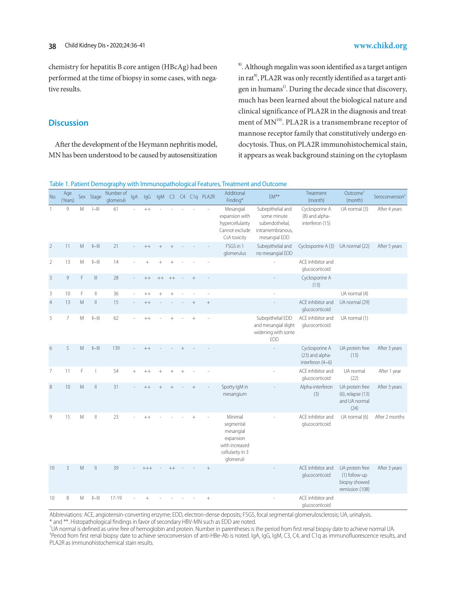chemistry for hepatitis B core antigen (HBcAg) had been performed at the time of biopsy in some cases, with negative results.

## **Discussion**

After the development of the Heymann nephritis model, MN has been understood to be caused by autosensitization 8). Although megalin was soon identified as a target antigen in  $rat^{9}$ , PLA2R was only recently identified as a target antigen in humans<sup>1)</sup>. During the decade since that discovery, much has been learned about the biological nature and clinical significance of PLA2R in the diagnosis and treatment of  $MN^{10}$ . PLA2R is a transmembrane receptor of mannose receptor family that constitutively undergo endocytosis. Thus, on PLA2R immunohistochemical stain, it appears as weak background staining on the cytoplasm

Table 1. Patient Demography with Immunopathological Features, Treatment and Outcome

| No.            | Age<br>(Years) |   | Sex Stage                                        | Number of<br>glomeruli | IgA    | IgG       |           |        |                |        | IgM C3 C4 C1g PLA2R | Additional<br>Finding*                                                                            | EM**                                                                                     | Treatment<br>(month)                                  | Outcome <sup>t</sup><br>(month)                                      | Seroconversion <sup>1</sup> |
|----------------|----------------|---|--------------------------------------------------|------------------------|--------|-----------|-----------|--------|----------------|--------|---------------------|---------------------------------------------------------------------------------------------------|------------------------------------------------------------------------------------------|-------------------------------------------------------|----------------------------------------------------------------------|-----------------------------|
| 1              | $\,9$          | M | $\left\vert -\right\vert \left\vert \right\vert$ | 61                     |        | $++$      |           |        |                |        |                     | Mesangial<br>expansion with<br>hypercellularity<br>Cannot exclude<br>CsA toxicity                 | Subepithelial and<br>some minute<br>subendothelial,<br>intramembranous,<br>mesangial EDD | Cyclosporine A<br>(8) and alpha-<br>interferon (15)   | UA normal (3)                                                        | After 4 years               |
| $\overline{2}$ | 11             | M | $  -   $                                         | 21                     |        | $++$      | $\ddot{}$ |        |                |        |                     | FSGS in 1<br>glomerulus                                                                           | Subepithelial and<br>no mesangial EDD                                                    | Cyclosporine A (3)                                    | UA normal (22)                                                       | After 5 years               |
| $\overline{2}$ | 13             | M | $  -   $                                         | 14                     |        | $\ddot{}$ | $\ddot{}$ |        |                |        |                     |                                                                                                   |                                                                                          | ACE inhibitor and<br>glucocorticoid                   |                                                                      |                             |
| $\overline{3}$ | $\,9$          | F | $\left\Vert {}\right\Vert$                       | 28                     | $\sim$ | $++$      | $^{++}$   | $++$   |                |        | ÷,                  |                                                                                                   |                                                                                          | Cyclosporine A<br>(13)                                |                                                                      |                             |
| $\mathsf 3$    | 10             | F | $\parallel$                                      | 36                     |        | $^{++}$   | $\ddot{}$ | $^{+}$ |                |        | L,                  |                                                                                                   | L.                                                                                       |                                                       | UA normal (4)                                                        |                             |
| $\overline{4}$ | 13             | M | $\vert\vert$                                     | 15                     |        | $++$      |           |        |                |        | $^+$                |                                                                                                   |                                                                                          | ACE inhibitor and<br>glucocorticoid                   | UA normal (29)                                                       |                             |
| 5              | $\overline{7}$ | M | $  -   $                                         | 62                     |        | $++$      |           |        |                | $^{+}$ |                     |                                                                                                   | Subepithelial EDD<br>and mesangial slight<br>widening with some<br>EDD                   | ACE inhibitor and<br>glucocorticoid                   | UA normal (1)                                                        |                             |
| 6              | 5              | M | $  -   $                                         | 139                    |        | $^{++}$   |           |        |                |        |                     |                                                                                                   | ÷,                                                                                       | Cyclosporine A<br>(23) and alpha-<br>interferon (4-6) | UA protein free<br>(13)                                              | After 3 years               |
| $\overline{7}$ | 11             | F | I                                                | 54                     | $+$    | $++$      | $^{+}$    |        | $\overline{+}$ |        |                     |                                                                                                   |                                                                                          | ACE inhibitor and<br>glucocorticoid                   | UA normal<br>(22)                                                    | After 1 year                |
| 8              | 10             | M | Ш                                                | 31                     |        | $++$      | $^{+}$    |        |                |        |                     | Spotty IgM in<br>mesangium                                                                        |                                                                                          | Alpha-interferon<br>(3)                               | UA protein free<br>(6), relapse (13)<br>and UA normal<br>(24)        | After 3 years               |
| 9              | 15             | M | $\mathbb{I}$                                     | 23                     |        | $++$      |           |        |                | $+$    |                     | Minimal<br>segmental<br>mesangial<br>expansion<br>with increased<br>cellularity in 3<br>glomeruli |                                                                                          | ACE inhibitor and<br>glucocorticoid                   | UA normal (6)                                                        | After 2 months              |
| 10             | 3              | M | Ш                                                | 39                     |        | $+++$     |           |        |                |        | $\qquad \qquad +$   |                                                                                                   |                                                                                          | ACE inhibitor and<br>glucocorticoid                   | UA protein free<br>(1) follow-up<br>biopsy showed<br>remission (108) | After 3 years               |
| 10             | $\,8\,$        | M | $  -   $                                         | $17 - 19$              |        |           |           |        |                |        |                     |                                                                                                   |                                                                                          | ACE inhibitor and<br>glucocorticoid                   |                                                                      |                             |

Abbreviations: ACE, angiotensin-converting enzyme; EDD, electron-dense deposits; FSGS, focal segmental glomerulosclerosis; UA, urinalysis. \* and \*\*. Histopathological findings in favor of secondary HBV-MN such as EDD are noted.

† UA normal is defined as urine free of hemoglobin and protein. Number in parentheses is the period from first renal biopsy date to achieve normal UA. ‡ Period from first renal biopsy date to achieve seroconversion of anti-HBe-Ab is noted. IgA, IgG, IgM, C3, C4, and C1q as immunofluorescence results, and PLA2R as immunohistochemical stain results.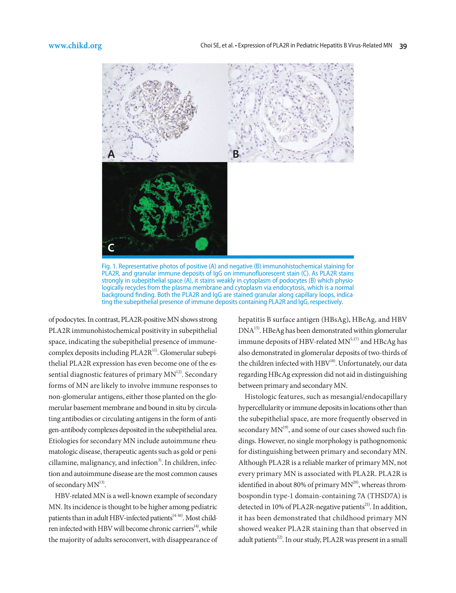

Fig. 1. Representative photos of positive (A) and negative (B) immunohistochemical staining for PLA2R, and granular immune deposits of IgG on immunofluorescent stain (C). As PLA2R stains strongly in subepithelial space (A), it stains weakly in cytoplasm of podocytes (B) which physiologically recycles from the plasma membrane and cytoplasm via endocytosis, which is a normal background finding. Both the PLA2R and IgG are stained granular along capillary loops, indica-<br>ting the subepithelial presence of immune deposits containing PLA2R and IgG, respectively.

of podocytes. In contrast, PLA2R-positive MN shows strong PLA2R immunohistochemical positivity in subepithelial space, indicating the subepithelial presence of immunecomplex deposits including PLA2R<sup>11)</sup>. Glomerular subepithelial PLA2R expression has even become one of the essential diagnostic features of primary  $MN<sup>12</sup>$ . Secondary forms of MN are likely to involve immune responses to non-glomerular antigens, either those planted on the glomerular basement membrane and bound in situ by circulating antibodies or circulating antigens in the form of antigen-antibody complexes deposited in the subepithelial area. Etiologies for secondary MN include autoimmune rheumatologic disease, therapeutic agents such as gold or peni $cillamine, malignancy, and infection<sup>3</sup>. In children, in fec$ tion and autoimmune disease are the most common causes of secondary  $MN^{13}$ .

HBV-related MN is a well-known example of secondary MN. Its incidence is thought to be higher among pediatric patients than in adult HBV-infected patients<sup>14-16)</sup>. Most children infected with HBV will become chronic carriers<sup>14</sup>, while the majority of adults seroconvert, with disappearance of hepatitis B surface antigen (HBsAg), HBeAg, and HBV DNA15). HBeAg has been demonstrated within glomerular immune deposits of HBV-related  $MN^{5,17)}$  and HBcAg has also demonstrated in glomerular deposits of two-thirds of the children infected with HBV<sup>18)</sup>. Unfortunately, our data regarding HBcAg expression did not aid in distinguishing between primary and secondary MN.

Histologic features, such as mesangial/endocapillary hypercellularity or immune deposits in locations other than the subepithelial space, are more frequently observed in secondary  $MN^{19}$ , and some of our cases showed such findings. However, no single morphology is pathognomonic for distinguishing between primary and secondary MN. Although PLA2R is a reliable marker of primary MN, not every primary MN is associated with PLA2R. PLA2R is identified in about 80% of primary  $MN^{20}$ , whereas thrombospondin type-1 domain-containing 7A (THSD7A) is detected in 10% of PLA2R-negative patients<sup>21)</sup>. In addition, it has been demonstrated that childhood primary MN showed weaker PLA2R staining than that observed in adult patients<sup>22)</sup>. In our study, PLA2R was present in a small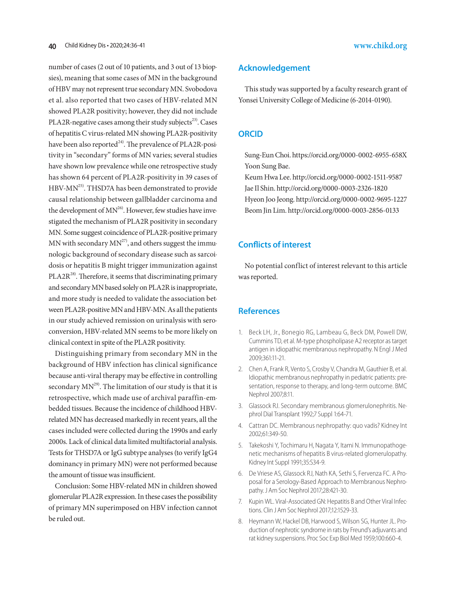number of cases (2 out of 10 patients, and 3 out of 13 biopsies), meaning that some cases of MN in the background of HBV may not represent true secondary MN. Svobodova et al. also reported that two cases of HBV-related MN showed PLA2R positivity; however, they did not include PLA2R-negative cases among their study subjects<sup>23)</sup>. Cases of hepatitis C virus-related MN showing PLA2R-positivity have been also reported $^{24}$ . The prevalence of PLA2R-positivity in "secondary" forms of MN varies; several studies have shown low prevalence while one retrospective study has shown 64 percent of PLA2R-positivity in 39 cases of HBV-MN<sup>25)</sup>. THSD7A has been demonstrated to provide causal relationship between gallbladder carcinoma and the development of  $MN^{26}$ . However, few studies have investigated the mechanism of PLA2R positivity in secondary MN. Some suggest coincidence of PLA2R-positive primary MN with secondary  $MN^{27}$ , and others suggest the immunologic background of secondary disease such as sarcoidosis or hepatitis B might trigger immunization against PLA2R<sup>28</sup>. Therefore, it seems that discriminating primary and secondary MN based solely on PLA2R is inappropriate, and more study is needed to validate the association between PLA2R-positive MN and HBV-MN. As all the patients in our study achieved remission on urinalysis with seroconversion, HBV-related MN seems to be more likely on clinical context in spite of the PLA2R positivity.

Distinguishing primary from secondary MN in the background of HBV infection has clinical significance because anti-viral therapy may be effective in controlling secondary  $MN^{29}$ . The limitation of our study is that it is retrospective, which made use of archival paraffin-embedded tissues. Because the incidence of childhood HBVrelated MN has decreased markedly in recent years, all the cases included were collected during the 1990s and early 2000s. Lack of clinical data limited multifactorial analysis. Tests for THSD7A or IgG subtype analyses (to verify IgG4 dominancy in primary MN) were not performed because the amount of tissue was insufficient.

Conclusion: Some HBV-related MN in children showed glomerular PLA2R expression. In these cases the possibility of primary MN superimposed on HBV infection cannot be ruled out.

### **Acknowledgement**

This study was supported by a faculty research grant of Yonsei University College of Medicine (6-2014-0190).

### **ORCID**

Sung-Eun Choi. https://orcid.org/0000-0002-6955-658X Yoon Sung Bae.

Keum Hwa Lee. http://orcid.org/0000-0002-1511-9587 Jae Il Shin. http://orcid.org/0000-0003-2326-1820 Hyeon Joo Jeong. http://orcid.org/0000-0002-9695-1227 Beom Jin Lim. http://orcid.org/0000-0003-2856-0133

# **Conflicts of interest**

No potential conflict of interest relevant to this article was reported.

# **References**

- 1. Beck LH, Jr., Bonegio RG, Lambeau G, Beck DM, Powell DW, Cummins TD, et al. M-type phospholipase A2 receptor as target antigen in idiopathic membranous nephropathy. N Engl J Med 2009;361:11-21.
- 2. Chen A, Frank R, Vento S, Crosby V, Chandra M, Gauthier B, et al. Idiopathic membranous nephropathy in pediatric patients: presentation, response to therapy, and long-term outcome. BMC Nephrol 2007;8:11.
- 3. Glassock RJ. Secondary membranous glomerulonephritis. Nephrol Dial Transplant 1992;7 Suppl 1:64-71.
- 4. Cattran DC. Membranous nephropathy: quo vadis? Kidney Int 2002;61:349-50.
- 5. Takekoshi Y, Tochimaru H, Nagata Y, Itami N. Immunopathogenetic mechanisms of hepatitis B virus-related glomerulopathy. Kidney Int Suppl 1991;35:S34-9.
- 6. De Vriese AS, Glassock RJ, Nath KA, Sethi S, Fervenza FC. A Proposal for a Serology-Based Approach to Membranous Nephropathy. J Am Soc Nephrol 2017;28:421-30.
- 7. Kupin WL. Viral-Associated GN: Hepatitis B and Other Viral Infections. Clin J Am Soc Nephrol 2017;12:1529-33.
- 8. Heymann W, Hackel DB, Harwood S, Wilson SG, Hunter JL. Production of nephrotic syndrome in rats by Freund's adjuvants and rat kidney suspensions. Proc Soc Exp Biol Med 1959;100:660-4.